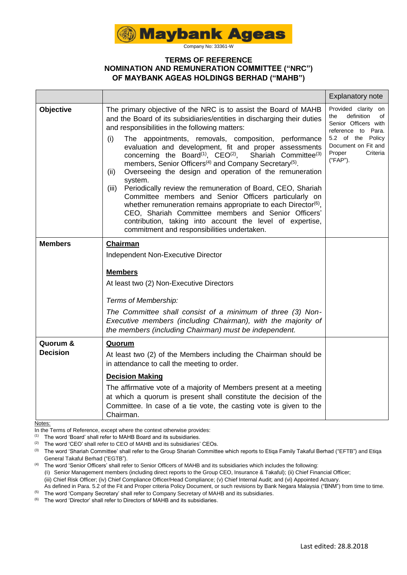

Company No: 33361-W

### **TERMS OF REFERENCE NOMINATION AND REMUNERATION COMMITTEE ("NRC") OF MAYBANK AGEAS HOLDINGS BERHAD ("MAHB")**

|                  |                                                                                                                                                                                                                                                                                                                                                                                                                                                                                                                                                                                                                                                                                                                                                                                                                                                                                                                                                                | <b>Explanatory note</b>                                                                                                                                                    |
|------------------|----------------------------------------------------------------------------------------------------------------------------------------------------------------------------------------------------------------------------------------------------------------------------------------------------------------------------------------------------------------------------------------------------------------------------------------------------------------------------------------------------------------------------------------------------------------------------------------------------------------------------------------------------------------------------------------------------------------------------------------------------------------------------------------------------------------------------------------------------------------------------------------------------------------------------------------------------------------|----------------------------------------------------------------------------------------------------------------------------------------------------------------------------|
| <b>Objective</b> | The primary objective of the NRC is to assist the Board of MAHB<br>and the Board of its subsidiaries/entities in discharging their duties<br>and responsibilities in the following matters:<br>(i)<br>The appointments, removals, composition, performance<br>evaluation and development, fit and proper assessments<br>concerning the Board <sup>(1)</sup> , $CEO(2)$ ,<br>Shariah Committee <sup>(3)</sup><br>members, Senior Officers <sup>(4)</sup> and Company Secretary <sup>(5)</sup> .<br>Overseeing the design and operation of the remuneration<br>(ii)<br>system.<br>Periodically review the remuneration of Board, CEO, Shariah<br>(iii)<br>Committee members and Senior Officers particularly on<br>whether remuneration remains appropriate to each Director <sup>(6)</sup> ,<br>CEO, Shariah Committee members and Senior Officers'<br>contribution, taking into account the level of expertise,<br>commitment and responsibilities undertaken. | Provided clarity on<br>definition<br>of<br>the<br>Senior Officers with<br>reference to Para.<br>5.2 of the Policy<br>Document on Fit and<br>Proper<br>Criteria<br>("FAP"). |
| <b>Members</b>   | <b>Chairman</b>                                                                                                                                                                                                                                                                                                                                                                                                                                                                                                                                                                                                                                                                                                                                                                                                                                                                                                                                                |                                                                                                                                                                            |
|                  | Independent Non-Executive Director                                                                                                                                                                                                                                                                                                                                                                                                                                                                                                                                                                                                                                                                                                                                                                                                                                                                                                                             |                                                                                                                                                                            |
|                  | <b>Members</b>                                                                                                                                                                                                                                                                                                                                                                                                                                                                                                                                                                                                                                                                                                                                                                                                                                                                                                                                                 |                                                                                                                                                                            |
|                  | At least two (2) Non-Executive Directors                                                                                                                                                                                                                                                                                                                                                                                                                                                                                                                                                                                                                                                                                                                                                                                                                                                                                                                       |                                                                                                                                                                            |
|                  | Terms of Membership:                                                                                                                                                                                                                                                                                                                                                                                                                                                                                                                                                                                                                                                                                                                                                                                                                                                                                                                                           |                                                                                                                                                                            |
|                  | The Committee shall consist of a minimum of three (3) Non-<br>Executive members (including Chairman), with the majority of<br>the members (including Chairman) must be independent.                                                                                                                                                                                                                                                                                                                                                                                                                                                                                                                                                                                                                                                                                                                                                                            |                                                                                                                                                                            |
| Quorum &         | <b>Quorum</b>                                                                                                                                                                                                                                                                                                                                                                                                                                                                                                                                                                                                                                                                                                                                                                                                                                                                                                                                                  |                                                                                                                                                                            |
| <b>Decision</b>  | At least two (2) of the Members including the Chairman should be<br>in attendance to call the meeting to order.                                                                                                                                                                                                                                                                                                                                                                                                                                                                                                                                                                                                                                                                                                                                                                                                                                                |                                                                                                                                                                            |
|                  | <b>Decision Making</b>                                                                                                                                                                                                                                                                                                                                                                                                                                                                                                                                                                                                                                                                                                                                                                                                                                                                                                                                         |                                                                                                                                                                            |
|                  | The affirmative vote of a majority of Members present at a meeting<br>at which a quorum is present shall constitute the decision of the<br>Committee. In case of a tie vote, the casting vote is given to the<br>Chairman.                                                                                                                                                                                                                                                                                                                                                                                                                                                                                                                                                                                                                                                                                                                                     |                                                                                                                                                                            |

Notes:

In the Terms of Reference, except where the context otherwise provides:

(1) The word 'Board' shall refer to MAHB Board and its subsidiaries.

(2) The word 'CEO' shall refer to CEO of MAHB and its subsidiaries' CEOs.

(3) The word 'Shariah Committee' shall refer to the Group Shariah Committee which reports to Etiqa Family Takaful Berhad ("EFTB") and Etiqa General Takaful Berhad ("EGTB").

(4) The word 'Senior Officers' shall refer to Senior Officers of MAHB and its subsidiaries which includes the following: (i) Senior Management members (including direct reports to the Group CEO, Insurance & Takaful); (ii) Chief Financial Officer; (iii) Chief Risk Officer; (iv) Chief Compliance Officer/Head Compliance; (v) Chief Internal Audit; and (vi) Appointed Actuary. As defined in Para. 5.2 of the Fit and Proper criteria Policy Document, or such revisions by Bank Negara Malaysia ("BNM") from time to time.

<sup>(5)</sup> The word 'Company Secretary' shall refer to Company Secretary of MAHB and its subsidiaries.

 $^{(6)}$  The word 'Director' shall refer to Directors of MAHB and its subsidiaries.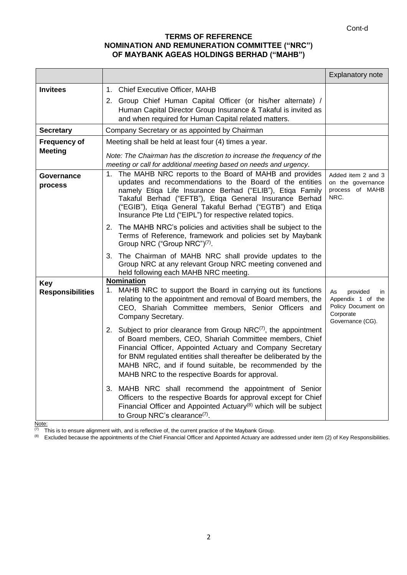# **TERMS OF REFERENCE NOMINATION AND REMUNERATION COMMITTEE ("NRC") OF MAYBANK AGEAS HOLDINGS BERHAD ("MAHB")**

|                                       |                                                                                                                                                                                                                                                                                                                                                                                   | <b>Explanatory note</b>                                                                          |
|---------------------------------------|-----------------------------------------------------------------------------------------------------------------------------------------------------------------------------------------------------------------------------------------------------------------------------------------------------------------------------------------------------------------------------------|--------------------------------------------------------------------------------------------------|
| <b>Invitees</b>                       | 1. Chief Executive Officer, MAHB<br>2. Group Chief Human Capital Officer (or his/her alternate) /<br>Human Capital Director Group Insurance & Takaful is invited as<br>and when required for Human Capital related matters.                                                                                                                                                       |                                                                                                  |
| <b>Secretary</b>                      | Company Secretary or as appointed by Chairman                                                                                                                                                                                                                                                                                                                                     |                                                                                                  |
| <b>Frequency of</b><br><b>Meeting</b> | Meeting shall be held at least four (4) times a year.<br>Note: The Chairman has the discretion to increase the frequency of the<br>meeting or call for additional meeting based on needs and urgency.                                                                                                                                                                             |                                                                                                  |
| Governance<br>process                 | 1. The MAHB NRC reports to the Board of MAHB and provides<br>updates and recommendations to the Board of the entities<br>namely Etiqa Life Insurance Berhad ("ELIB"), Etiqa Family<br>Takaful Berhad ("EFTB"), Etiqa General Insurance Berhad<br>("EGIB"), Etiqa General Takaful Berhad ("EGTB") and Etiqa<br>Insurance Pte Ltd ("EIPL") for respective related topics.           | Added item 2 and 3<br>on the governance<br>process of MAHB<br>NRC.                               |
|                                       | 2. The MAHB NRC's policies and activities shall be subject to the<br>Terms of Reference, framework and policies set by Maybank<br>Group NRC ("Group NRC") <sup>(7)</sup> .                                                                                                                                                                                                        |                                                                                                  |
|                                       | 3. The Chairman of MAHB NRC shall provide updates to the<br>Group NRC at any relevant Group NRC meeting convened and<br>held following each MAHB NRC meeting.                                                                                                                                                                                                                     |                                                                                                  |
| Key<br><b>Responsibilities</b>        | <b>Nomination</b><br>MAHB NRC to support the Board in carrying out its functions<br>1.<br>relating to the appointment and removal of Board members, the<br>CEO, Shariah Committee members, Senior Officers and<br>Company Secretary.                                                                                                                                              | As<br>provided<br>in<br>Appendix 1 of the<br>Policy Document on<br>Corporate<br>Governance (CG). |
|                                       | 2. Subject to prior clearance from Group $NRC^{(7)}$ , the appointment<br>of Board members, CEO, Shariah Committee members, Chief<br>Financial Officer, Appointed Actuary and Company Secretary<br>for BNM regulated entities shall thereafter be deliberated by the<br>MAHB NRC, and if found suitable, be recommended by the<br>MAHB NRC to the respective Boards for approval. |                                                                                                  |
|                                       | 3. MAHB NRC shall recommend the appointment of Senior<br>Officers to the respective Boards for approval except for Chief<br>Financial Officer and Appointed Actuary $(8)$ which will be subject<br>to Group NRC's clearance <sup>(7)</sup> .                                                                                                                                      |                                                                                                  |

Note:

 $(7)$  This is to ensure alignment with, and is reflective of, the current practice of the Maybank Group.

<sup>(8)</sup> Excluded because the appointments of the Chief Financial Officer and Appointed Actuary are addressed under item (2) of Key Responsibilities.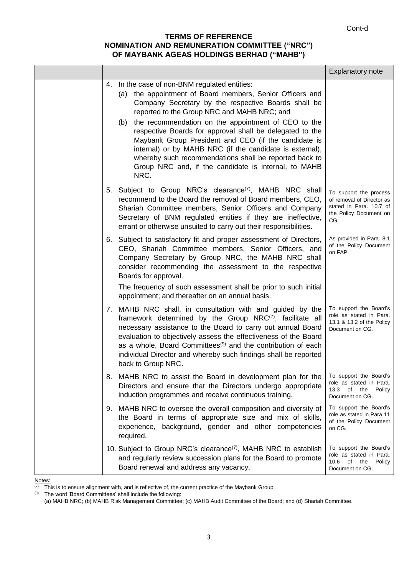### **TERMS OF REFERENCE NOMINATION AND REMUNERATION COMMITTEE ("NRC") OF MAYBANK AGEAS HOLDINGS BERHAD ("MAHB")**

|                                                                                                                                                                                                                                                                                                                                                                                                                                                                                                                                                                                          | <b>Explanatory note</b>                                                                                         |
|------------------------------------------------------------------------------------------------------------------------------------------------------------------------------------------------------------------------------------------------------------------------------------------------------------------------------------------------------------------------------------------------------------------------------------------------------------------------------------------------------------------------------------------------------------------------------------------|-----------------------------------------------------------------------------------------------------------------|
| 4. In the case of non-BNM regulated entities:<br>(a) the appointment of Board members, Senior Officers and<br>Company Secretary by the respective Boards shall be<br>reported to the Group NRC and MAHB NRC; and<br>the recommendation on the appointment of CEO to the<br>(b)<br>respective Boards for approval shall be delegated to the<br>Maybank Group President and CEO (if the candidate is<br>internal) or by MAHB NRC (if the candidate is external),<br>whereby such recommendations shall be reported back to<br>Group NRC and, if the candidate is internal, to MAHB<br>NRC. |                                                                                                                 |
| 5. Subject to Group NRC's clearance <sup>(7)</sup> , MAHB NRC shall<br>recommend to the Board the removal of Board members, CEO,<br>Shariah Committee members, Senior Officers and Company<br>Secretary of BNM regulated entities if they are ineffective,<br>errant or otherwise unsuited to carry out their responsibilities.                                                                                                                                                                                                                                                          | To support the process<br>of removal of Director as<br>stated in Para, 10.7 of<br>the Policy Document on<br>CG. |
| 6. Subject to satisfactory fit and proper assessment of Directors,<br>CEO, Shariah Committee members, Senior Officers, and<br>Company Secretary by Group NRC, the MAHB NRC shall<br>consider recommending the assessment to the respective<br>Boards for approval.<br>The frequency of such assessment shall be prior to such initial                                                                                                                                                                                                                                                    | As provided in Para. 8.1<br>of the Policy Document<br>on FAP.                                                   |
| appointment; and thereafter on an annual basis.                                                                                                                                                                                                                                                                                                                                                                                                                                                                                                                                          |                                                                                                                 |
| 7. MAHB NRC shall, in consultation with and guided by the<br>framework determined by the Group NRC(7), facilitate all<br>necessary assistance to the Board to carry out annual Board<br>evaluation to objectively assess the effectiveness of the Board<br>as a whole, Board Committees <sup>(9)</sup> and the contribution of each<br>individual Director and whereby such findings shall be reported<br>back to Group NRC.                                                                                                                                                             | To support the Board's<br>role as stated in Para.<br>13.1 & 13.2 of the Policy<br>Document on CG.               |
| 8. MAHB NRC to assist the Board in development plan for the<br>Directors and ensure that the Directors undergo appropriate<br>induction programmes and receive continuous training.                                                                                                                                                                                                                                                                                                                                                                                                      | To support the Board's<br>role as stated in Para.<br>13.3 of the Policy<br>Document on CG.                      |
| 9. MAHB NRC to oversee the overall composition and diversity of<br>the Board in terms of appropriate size and mix of skills,<br>experience, background, gender and other competencies<br>required.                                                                                                                                                                                                                                                                                                                                                                                       | To support the Board's<br>role as stated in Para 11<br>of the Policy Document<br>on CG.                         |
| 10. Subject to Group NRC's clearance <sup>(7)</sup> , MAHB NRC to establish<br>and regularly review succession plans for the Board to promote<br>Board renewal and address any vacancy.                                                                                                                                                                                                                                                                                                                                                                                                  | To support the Board's<br>role as stated in Para.<br>10.6 of the Policy<br>Document on CG.                      |

 $\frac{\text{Notes:}}{\text{(7)} - \text{This}}$ 

 $\frac{\overline{(7)}}{10}$  This is to ensure alignment with, and is reflective of, the current practice of the Maybank Group.<br><sup>(9)</sup> The word 'Board Committees' shall include the following:

The word 'Board Committees' shall include the following:

(a) MAHB NRC; (b) MAHB Risk Management Committee; (c) MAHB Audit Committee of the Board; and (d) Shariah Committee.